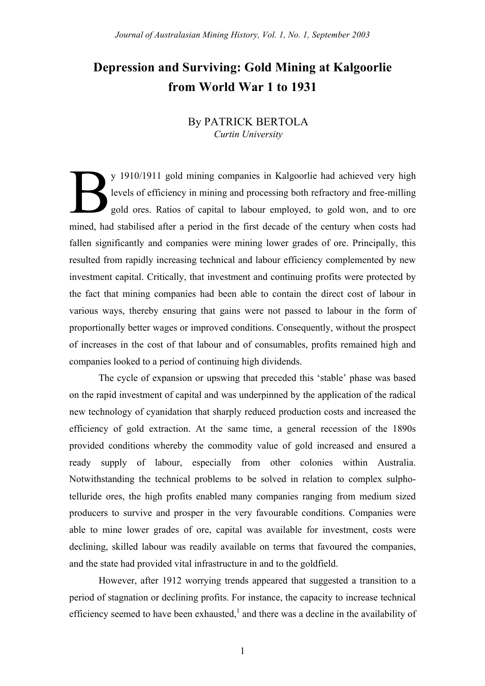# **Depression and Surviving: Gold Mining at Kalgoorlie from World War 1 to 1931**

## By PATRICK BERTOLA *Curtin University*

y 1910/1911 gold mining companies in Kalgoorlie had achieved very high levels of efficiency in mining and processing both refractory and free-milling gold ores. Ratios of capital to labour employed, to gold won, and to ore mined, had stabilised after a period in the first decade of the century when costs had fallen significantly and companies were mining lower grades of ore. Principally, this resulted from rapidly increasing technical and labour efficiency complemented by new investment capital. Critically, that investment and continuing profits were protected by the fact that mining companies had been able to contain the direct cost of labour in various ways, thereby ensuring that gains were not passed to labour in the form of proportionally better wages or improved conditions. Consequently, without the prospect of increases in the cost of that labour and of consumables, profits remained high and companies looked to a period of continuing high dividends. B

The cycle of expansion or upswing that preceded this 'stable' phase was based on the rapid investment of capital and was underpinned by the application of the radical new technology of cyanidation that sharply reduced production costs and increased the efficiency of gold extraction. At the same time, a general recession of the 1890s provided conditions whereby the commodity value of gold increased and ensured a ready supply of labour, especially from other colonies within Australia. Notwithstanding the technical problems to be solved in relation to complex sulphotelluride ores, the high profits enabled many companies ranging from medium sized producers to survive and prosper in the very favourable conditions. Companies were able to mine lower grades of ore, capital was available for investment, costs were declining, skilled labour was readily available on terms that favoured the companies, and the state had provided vital infrastructure in and to the goldfield.

However, after 1912 worrying trends appeared that suggested a transition to a period of stagnation or declining profits. For instance, the capacity to increase technical efficiency seemed to have been exhausted, $\frac{1}{2}$  and there was a decline in the availability of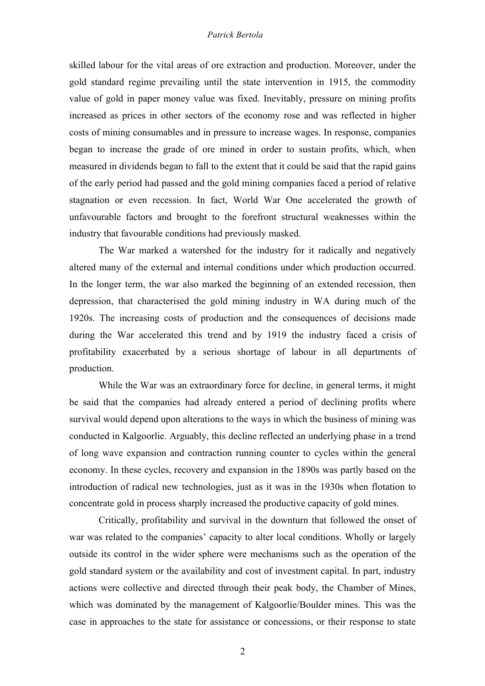skilled labour for the vital areas of ore extraction and production. Moreover, under the gold standard regime prevailing until the state intervention in 1915, the commodity value of gold in paper money value was fixed. Inevitably, pressure on mining profits increased as prices in other sectors of the economy rose and was reflected in higher costs of mining consumables and in pressure to increase wages. In response, companies began to increase the grade of ore mined in order to sustain profits, which, when measured in dividends began to fall to the extent that it could be said that the rapid gains of the early period had passed and the gold mining companies faced a period of relative stagnation or even recession. In fact, World War One accelerated the growth of unfavourable factors and brought to the forefront structural weaknesses within the industry that favourable conditions had previously masked.

The War marked a watershed for the industry for it radically and negatively altered many of the external and internal conditions under which production occurred. In the longer term, the war also marked the beginning of an extended recession, then depression, that characterised the gold mining industry in WA during much of the 1920s. The increasing costs of production and the consequences of decisions made during the War accelerated this trend and by 1919 the industry faced a crisis of profitability exacerbated by a serious shortage of labour in all departments of production.

While the War was an extraordinary force for decline, in general terms, it might be said that the companies had already entered a period of declining profits where survival would depend upon alterations to the ways in which the business of mining was conducted in Kalgoorlie. Arguably, this decline reflected an underlying phase in a trend of long wave expansion and contraction running counter to cycles within the general economy. In these cycles, recovery and expansion in the 1890s was partly based on the introduction of radical new technologies, just as it was in the 1930s when flotation to concentrate gold in process sharply increased the productive capacity of gold mines.

Critically, profitability and survival in the downturn that followed the onset of war was related to the companies' capacity to alter local conditions. Wholly or largely outside its control in the wider sphere were mechanisms such as the operation of the gold standard system or the availability and cost of investment capital. In part, industry actions were collective and directed through their peak body, the Chamber of Mines, which was dominated by the management of Kalgoorlie/Boulder mines. This was the case in approaches to the state for assistance or concessions, or their response to state

2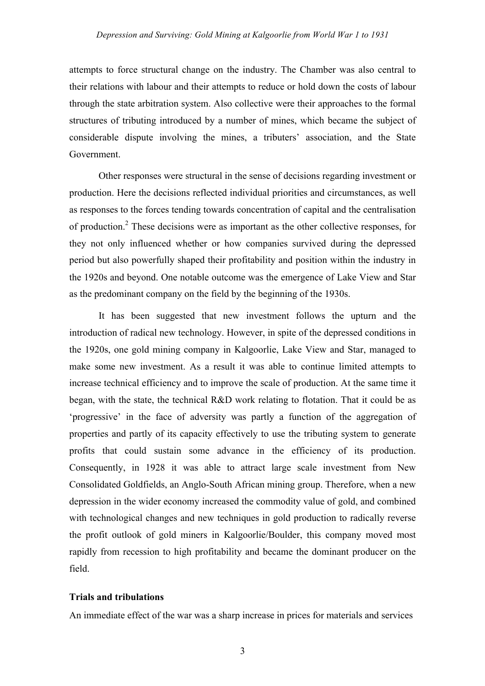attempts to force structural change on the industry. The Chamber was also central to their relations with labour and their attempts to reduce or hold down the costs of labour through the state arbitration system. Also collective were their approaches to the formal structures of tributing introduced by a number of mines, which became the subject of considerable dispute involving the mines, a tributers' association, and the State Government.

Other responses were structural in the sense of decisions regarding investment or production. Here the decisions reflected individual priorities and circumstances, as well as responses to the forces tending towards concentration of capital and the centralisation of production.<sup>2</sup> These decisions were as important as the other collective responses, for they not only influenced whether or how companies survived during the depressed period but also powerfully shaped their profitability and position within the industry in the 1920s and beyond. One notable outcome was the emergence of Lake View and Star as the predominant company on the field by the beginning of the 1930s.

It has been suggested that new investment follows the upturn and the introduction of radical new technology. However, in spite of the depressed conditions in the 1920s, one gold mining company in Kalgoorlie, Lake View and Star, managed to make some new investment. As a result it was able to continue limited attempts to increase technical efficiency and to improve the scale of production. At the same time it began, with the state, the technical R&D work relating to flotation. That it could be as 'progressive' in the face of adversity was partly a function of the aggregation of properties and partly of its capacity effectively to use the tributing system to generate profits that could sustain some advance in the efficiency of its production. Consequently, in 1928 it was able to attract large scale investment from New Consolidated Goldfields, an Anglo-South African mining group. Therefore, when a new depression in the wider economy increased the commodity value of gold, and combined with technological changes and new techniques in gold production to radically reverse the profit outlook of gold miners in Kalgoorlie/Boulder, this company moved most rapidly from recession to high profitability and became the dominant producer on the field.

## **Trials and tribulations**

An immediate effect of the war was a sharp increase in prices for materials and services

3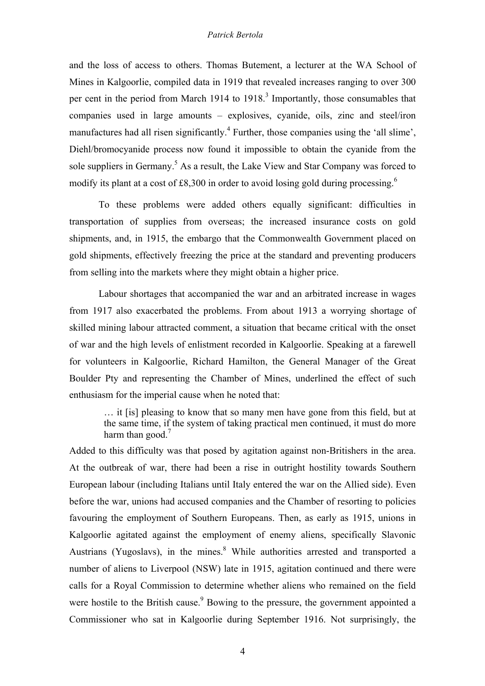and the loss of access to others. Thomas Butement, a lecturer at the WA School of Mines in Kalgoorlie, compiled data in 1919 that revealed increases ranging to over 300 per cent in the period from March 1914 to 1918.<sup>3</sup> Importantly, those consumables that companies used in large amounts – explosives, cyanide, oils, zinc and steel/iron manufactures had all risen significantly.<sup>4</sup> Further, those companies using the 'all slime', Diehl/bromocyanide process now found it impossible to obtain the cyanide from the sole suppliers in Germany.<sup>5</sup> As a result, the Lake View and Star Company was forced to modify its plant at a cost of £8,300 in order to avoid losing gold during processing.<sup>6</sup>

To these problems were added others equally significant: difficulties in transportation of supplies from overseas; the increased insurance costs on gold shipments, and, in 1915, the embargo that the Commonwealth Government placed on gold shipments, effectively freezing the price at the standard and preventing producers from selling into the markets where they might obtain a higher price.

Labour shortages that accompanied the war and an arbitrated increase in wages from 1917 also exacerbated the problems. From about 1913 a worrying shortage of skilled mining labour attracted comment, a situation that became critical with the onset of war and the high levels of enlistment recorded in Kalgoorlie. Speaking at a farewell for volunteers in Kalgoorlie, Richard Hamilton, the General Manager of the Great Boulder Pty and representing the Chamber of Mines, underlined the effect of such enthusiasm for the imperial cause when he noted that:

… it [is] pleasing to know that so many men have gone from this field, but at the same time, if the system of taking practical men continued, it must do more harm than good. $<sup>7</sup>$ </sup>

Added to this difficulty was that posed by agitation against non-Britishers in the area. At the outbreak of war, there had been a rise in outright hostility towards Southern European labour (including Italians until Italy entered the war on the Allied side). Even before the war, unions had accused companies and the Chamber of resorting to policies favouring the employment of Southern Europeans. Then, as early as 1915, unions in Kalgoorlie agitated against the employment of enemy aliens, specifically Slavonic Austrians (Yugoslavs), in the mines.<sup>8</sup> While authorities arrested and transported a number of aliens to Liverpool (NSW) late in 1915, agitation continued and there were calls for a Royal Commission to determine whether aliens who remained on the field were hostile to the British cause.<sup>9</sup> Bowing to the pressure, the government appointed a Commissioner who sat in Kalgoorlie during September 1916. Not surprisingly, the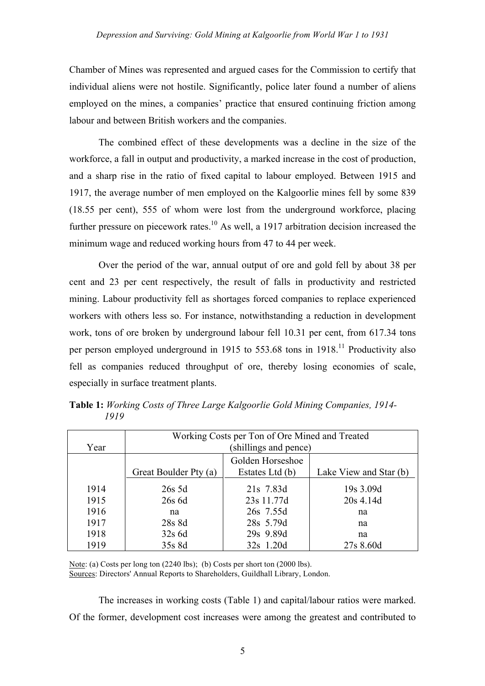Chamber of Mines was represented and argued cases for the Commission to certify that individual aliens were not hostile. Significantly, police later found a number of aliens employed on the mines, a companies' practice that ensured continuing friction among labour and between British workers and the companies.

The combined effect of these developments was a decline in the size of the workforce, a fall in output and productivity, a marked increase in the cost of production, and a sharp rise in the ratio of fixed capital to labour employed. Between 1915 and 1917, the average number of men employed on the Kalgoorlie mines fell by some 839 (18.55 per cent), 555 of whom were lost from the underground workforce, placing further pressure on piecework rates.<sup>10</sup> As well, a 1917 arbitration decision increased the minimum wage and reduced working hours from 47 to 44 per week.

Over the period of the war, annual output of ore and gold fell by about 38 per cent and 23 per cent respectively, the result of falls in productivity and restricted mining. Labour productivity fell as shortages forced companies to replace experienced workers with others less so. For instance, notwithstanding a reduction in development work, tons of ore broken by underground labour fell 10.31 per cent, from 617.34 tons per person employed underground in 1915 to  $553.68$  tons in  $1918$ <sup>11</sup> Productivity also fell as companies reduced throughput of ore, thereby losing economies of scale, especially in surface treatment plants.

| Year | Working Costs per Ton of Ore Mined and Treated<br>(shillings and pence) |                                     |                        |
|------|-------------------------------------------------------------------------|-------------------------------------|------------------------|
|      | Great Boulder Pty (a)                                                   | Golden Horseshoe<br>Estates Ltd (b) | Lake View and Star (b) |
| 1914 | $26s$ 5d                                                                | 21s 7.83d                           | 19s 3.09d              |
| 1915 | 26s 6d                                                                  | 23s 11.77d                          | 20s 4.14d              |
| 1916 | na                                                                      | 26s 7.55d                           | na                     |
| 1917 | 28s 8d                                                                  | 28s 5.79d                           | na                     |
| 1918 | $32s$ 6d                                                                | 29s 9.89d                           | na                     |
| 1919 | 35s 8d                                                                  | 32s 1.20d                           | 27s 8.60d              |

**Table 1:** *Working Costs of Three Large Kalgoorlie Gold Mining Companies, 1914-* *1919*

Note: (a) Costs per long ton (2240 lbs); (b) Costs per short ton (2000 lbs). Sources: Directors' Annual Reports to Shareholders, Guildhall Library, London.

The increases in working costs (Table 1) and capital/labour ratios were marked. Of the former, development cost increases were among the greatest and contributed to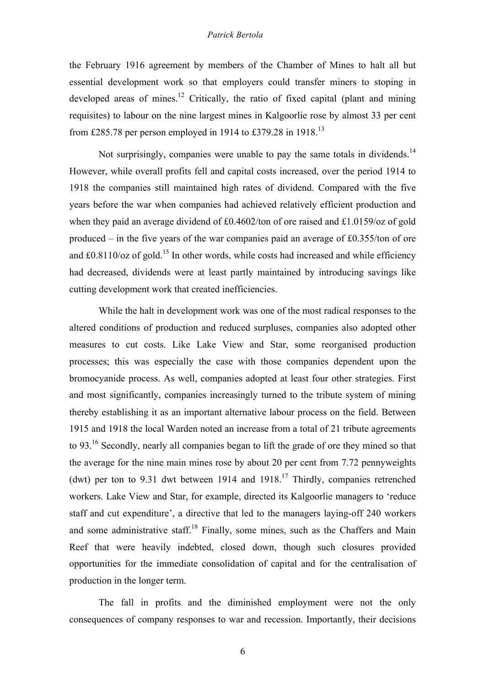the February 1916 agreement by members of the Chamber of Mines to halt all but essential development work so that employers could transfer miners to stoping in developed areas of mines.<sup>12</sup> Critically, the ratio of fixed capital (plant and mining requisites) to labour on the nine largest mines in Kalgoorlie rose by almost 33 per cent from £285.78 per person employed in 1914 to £379.28 in 1918.<sup>13</sup>

Not surprisingly, companies were unable to pay the same totals in dividends.<sup>14</sup> However, while overall profits fell and capital costs increased, over the period 1914 to 1918 the companies still maintained high rates of dividend. Compared with the five years before the war when companies had achieved relatively efficient production and when they paid an average dividend of £0.4602/ton of ore raised and £1.0159/oz of gold produced – in the five years of the war companies paid an average of £0.355/ton of ore and  $\pm 0.8110/\text{oz}$  of gold.<sup>15</sup> In other words, while costs had increased and while efficiency had decreased, dividends were at least partly maintained by introducing savings like cutting development work that created inefficiencies.

While the halt in development work was one of the most radical responses to the altered conditions of production and reduced surpluses, companies also adopted other measures to cut costs. Like Lake View and Star, some reorganised production processes; this was especially the case with those companies dependent upon the bromocyanide process. As well, companies adopted at least four other strategies. First and most significantly, companies increasingly turned to the tribute system of mining thereby establishing it as an important alternative labour process on the field. Between 1915 and 1918 the local Warden noted an increase from a total of 21 tribute agreements to 93.16 Secondly, nearly all companies began to lift the grade of ore they mined so that the average for the nine main mines rose by about 20 per cent from 7.72 pennyweights (dwt) per ton to 9.31 dwt between 1914 and  $1918<sup>17</sup>$  Thirdly, companies retrenched workers. Lake View and Star, for example, directed its Kalgoorlie managers to 'reduce staff and cut expenditure', a directive that led to the managers laying-off 240 workers and some administrative staff.<sup>18</sup> Finally, some mines, such as the Chaffers and Main Reef that were heavily indebted, closed down, though such closures provided opportunities for the immediate consolidation of capital and for the centralisation of production in the longer term.

The fall in profits and the diminished employment were not the only consequences of company responses to war and recession. Importantly, their decisions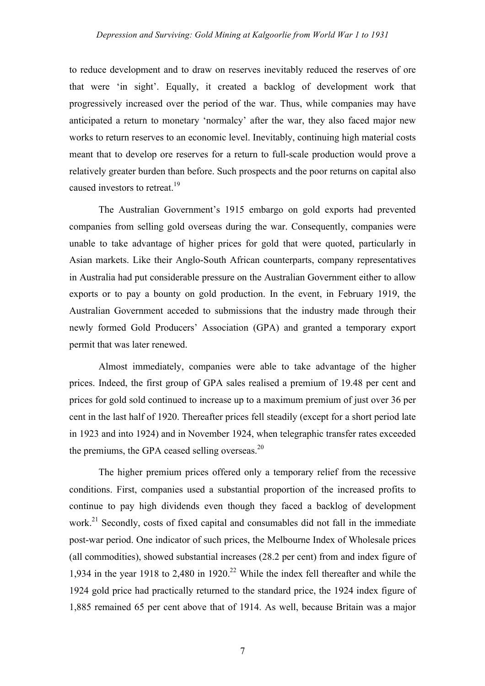to reduce development and to draw on reserves inevitably reduced the reserves of ore that were 'in sight'. Equally, it created a backlog of development work that progressively increased over the period of the war. Thus, while companies may have anticipated a return to monetary 'normalcy' after the war, they also faced major new works to return reserves to an economic level. Inevitably, continuing high material costs meant that to develop ore reserves for a return to full-scale production would prove a relatively greater burden than before. Such prospects and the poor returns on capital also caused investors to retreat.<sup>19</sup>

The Australian Government's 1915 embargo on gold exports had prevented companies from selling gold overseas during the war. Consequently, companies were unable to take advantage of higher prices for gold that were quoted, particularly in Asian markets. Like their Anglo-South African counterparts, company representatives in Australia had put considerable pressure on the Australian Government either to allow exports or to pay a bounty on gold production. In the event, in February 1919, the Australian Government acceded to submissions that the industry made through their newly formed Gold Producers' Association (GPA) and granted a temporary export permit that was later renewed.

Almost immediately, companies were able to take advantage of the higher prices. Indeed, the first group of GPA sales realised a premium of 19.48 per cent and prices for gold sold continued to increase up to a maximum premium of just over 36 per cent in the last half of 1920. Thereafter prices fell steadily (except for a short period late in 1923 and into 1924) and in November 1924, when telegraphic transfer rates exceeded the premiums, the GPA ceased selling overseas. $20$ 

The higher premium prices offered only a temporary relief from the recessive conditions. First, companies used a substantial proportion of the increased profits to continue to pay high dividends even though they faced a backlog of development work.<sup>21</sup> Secondly, costs of fixed capital and consumables did not fall in the immediate post-war period. One indicator of such prices, the Melbourne Index of Wholesale prices (all commodities), showed substantial increases (28.2 per cent) from and index figure of 1,934 in the year 1918 to 2,480 in 1920.<sup>22</sup> While the index fell thereafter and while the 1924 gold price had practically returned to the standard price, the 1924 index figure of 1,885 remained 65 per cent above that of 1914. As well, because Britain was a major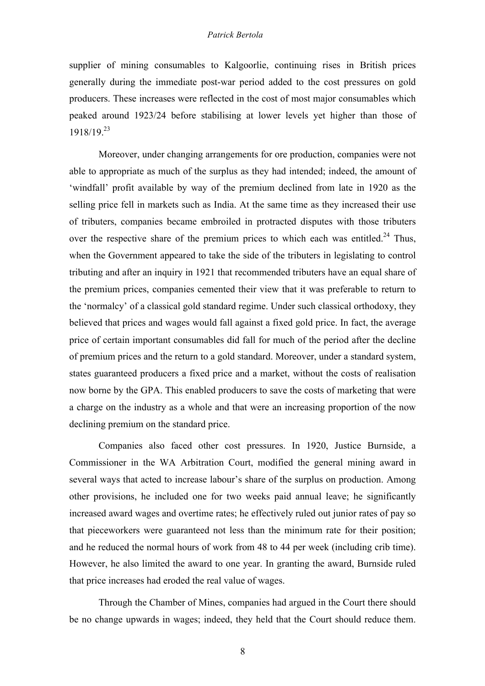supplier of mining consumables to Kalgoorlie, continuing rises in British prices generally during the immediate post-war period added to the cost pressures on gold producers. These increases were reflected in the cost of most major consumables which peaked around 1923/24 before stabilising at lower levels yet higher than those of 1918/19.23

Moreover, under changing arrangements for ore production, companies were not able to appropriate as much of the surplus as they had intended; indeed, the amount of 'windfall' profit available by way of the premium declined from late in 1920 as the selling price fell in markets such as India. At the same time as they increased their use of tributers, companies became embroiled in protracted disputes with those tributers over the respective share of the premium prices to which each was entitled.<sup>24</sup> Thus, when the Government appeared to take the side of the tributers in legislating to control tributing and after an inquiry in 1921 that recommended tributers have an equal share of the premium prices, companies cemented their view that it was preferable to return to the 'normalcy' of a classical gold standard regime. Under such classical orthodoxy, they believed that prices and wages would fall against a fixed gold price. In fact, the average price of certain important consumables did fall for much of the period after the decline of premium prices and the return to a gold standard. Moreover, under a standard system, states guaranteed producers a fixed price and a market, without the costs of realisation now borne by the GPA. This enabled producers to save the costs of marketing that were a charge on the industry as a whole and that were an increasing proportion of the now declining premium on the standard price.

Companies also faced other cost pressures. In 1920, Justice Burnside, a Commissioner in the WA Arbitration Court, modified the general mining award in several ways that acted to increase labour's share of the surplus on production. Among other provisions, he included one for two weeks paid annual leave; he significantly increased award wages and overtime rates; he effectively ruled out junior rates of pay so that pieceworkers were guaranteed not less than the minimum rate for their position; and he reduced the normal hours of work from 48 to 44 per week (including crib time). However, he also limited the award to one year. In granting the award, Burnside ruled that price increases had eroded the real value of wages.

Through the Chamber of Mines, companies had argued in the Court there should be no change upwards in wages; indeed, they held that the Court should reduce them.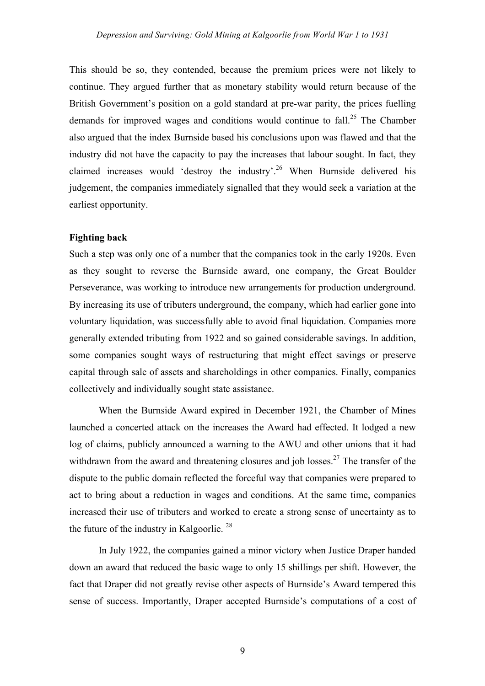This should be so, they contended, because the premium prices were not likely to continue. They argued further that as monetary stability would return because of the British Government's position on a gold standard at pre-war parity, the prices fuelling demands for improved wages and conditions would continue to fall.<sup>25</sup> The Chamber also argued that the index Burnside based his conclusions upon was flawed and that the industry did not have the capacity to pay the increases that labour sought. In fact, they claimed increases would 'destroy the industry'.26 When Burnside delivered his judgement, the companies immediately signalled that they would seek a variation at the earliest opportunity.

## **Fighting back**

Such a step was only one of a number that the companies took in the early 1920s. Even as they sought to reverse the Burnside award, one company, the Great Boulder Perseverance, was working to introduce new arrangements for production underground. By increasing its use of tributers underground, the company, which had earlier gone into voluntary liquidation, was successfully able to avoid final liquidation. Companies more generally extended tributing from 1922 and so gained considerable savings. In addition, some companies sought ways of restructuring that might effect savings or preserve capital through sale of assets and shareholdings in other companies. Finally, companies collectively and individually sought state assistance.

When the Burnside Award expired in December 1921, the Chamber of Mines launched a concerted attack on the increases the Award had effected. It lodged a new log of claims, publicly announced a warning to the AWU and other unions that it had withdrawn from the award and threatening closures and job losses.<sup>27</sup> The transfer of the dispute to the public domain reflected the forceful way that companies were prepared to act to bring about a reduction in wages and conditions. At the same time, companies increased their use of tributers and worked to create a strong sense of uncertainty as to the future of the industry in Kalgoorlie. <sup>28</sup>

In July 1922, the companies gained a minor victory when Justice Draper handed down an award that reduced the basic wage to only 15 shillings per shift. However, the fact that Draper did not greatly revise other aspects of Burnside's Award tempered this sense of success. Importantly, Draper accepted Burnside's computations of a cost of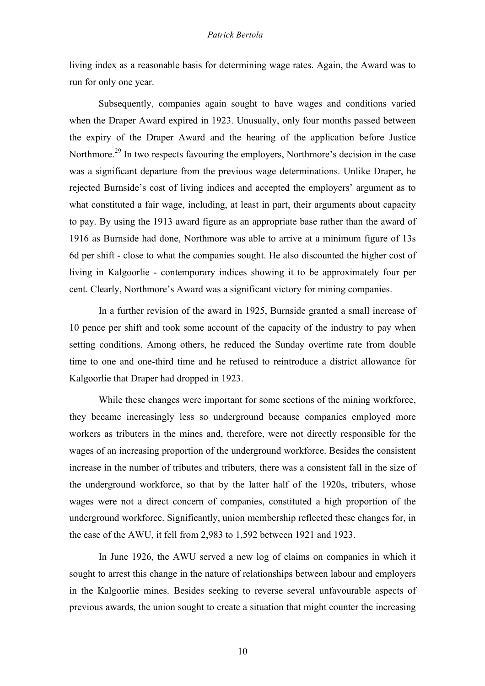living index as a reasonable basis for determining wage rates. Again, the Award was to run for only one year.

Subsequently, companies again sought to have wages and conditions varied when the Draper Award expired in 1923. Unusually, only four months passed between the expiry of the Draper Award and the hearing of the application before Justice Northmore.<sup>29</sup> In two respects favouring the employers, Northmore's decision in the case was a significant departure from the previous wage determinations. Unlike Draper, he rejected Burnside's cost of living indices and accepted the employers' argument as to what constituted a fair wage, including, at least in part, their arguments about capacity to pay. By using the 1913 award figure as an appropriate base rather than the award of 1916 as Burnside had done, Northmore was able to arrive at a minimum figure of 13s 6d per shift - close to what the companies sought. He also discounted the higher cost of living in Kalgoorlie - contemporary indices showing it to be approximately four per cent. Clearly, Northmore's Award was a significant victory for mining companies.

In a further revision of the award in 1925, Burnside granted a small increase of 10 pence per shift and took some account of the capacity of the industry to pay when setting conditions. Among others, he reduced the Sunday overtime rate from double time to one and one-third time and he refused to reintroduce a district allowance for Kalgoorlie that Draper had dropped in 1923.

While these changes were important for some sections of the mining workforce, they became increasingly less so underground because companies employed more workers as tributers in the mines and, therefore, were not directly responsible for the wages of an increasing proportion of the underground workforce. Besides the consistent increase in the number of tributes and tributers, there was a consistent fall in the size of the underground workforce, so that by the latter half of the 1920s, tributers, whose wages were not a direct concern of companies, constituted a high proportion of the underground workforce. Significantly, union membership reflected these changes for, in the case of the AWU, it fell from 2,983 to 1,592 between 1921 and 1923.

In June 1926, the AWU served a new log of claims on companies in which it sought to arrest this change in the nature of relationships between labour and employers in the Kalgoorlie mines. Besides seeking to reverse several unfavourable aspects of previous awards, the union sought to create a situation that might counter the increasing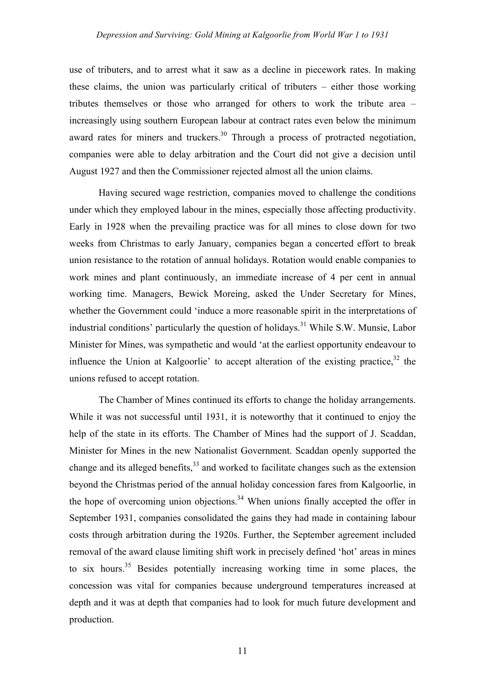use of tributers, and to arrest what it saw as a decline in piecework rates. In making these claims, the union was particularly critical of tributers – either those working tributes themselves or those who arranged for others to work the tribute area – increasingly using southern European labour at contract rates even below the minimum award rates for miners and truckers.<sup>30</sup> Through a process of protracted negotiation, companies were able to delay arbitration and the Court did not give a decision until August 1927 and then the Commissioner rejected almost all the union claims.

Having secured wage restriction, companies moved to challenge the conditions under which they employed labour in the mines, especially those affecting productivity. Early in 1928 when the prevailing practice was for all mines to close down for two weeks from Christmas to early January, companies began a concerted effort to break union resistance to the rotation of annual holidays. Rotation would enable companies to work mines and plant continuously, an immediate increase of 4 per cent in annual working time. Managers, Bewick Moreing, asked the Under Secretary for Mines, whether the Government could 'induce a more reasonable spirit in the interpretations of industrial conditions' particularly the question of holidays.<sup>31</sup> While S.W. Munsie, Labor Minister for Mines, was sympathetic and would 'at the earliest opportunity endeavour to influence the Union at Kalgoorlie' to accept alteration of the existing practice.<sup>32</sup> the unions refused to accept rotation.

The Chamber of Mines continued its efforts to change the holiday arrangements. While it was not successful until 1931, it is noteworthy that it continued to enjoy the help of the state in its efforts. The Chamber of Mines had the support of J. Scaddan, Minister for Mines in the new Nationalist Government. Scaddan openly supported the change and its alleged benefits,  $33$  and worked to facilitate changes such as the extension beyond the Christmas period of the annual holiday concession fares from Kalgoorlie, in the hope of overcoming union objections.<sup>34</sup> When unions finally accepted the offer in September 1931, companies consolidated the gains they had made in containing labour costs through arbitration during the 1920s. Further, the September agreement included removal of the award clause limiting shift work in precisely defined 'hot' areas in mines to six hours.<sup>35</sup> Besides potentially increasing working time in some places, the concession was vital for companies because underground temperatures increased at depth and it was at depth that companies had to look for much future development and production.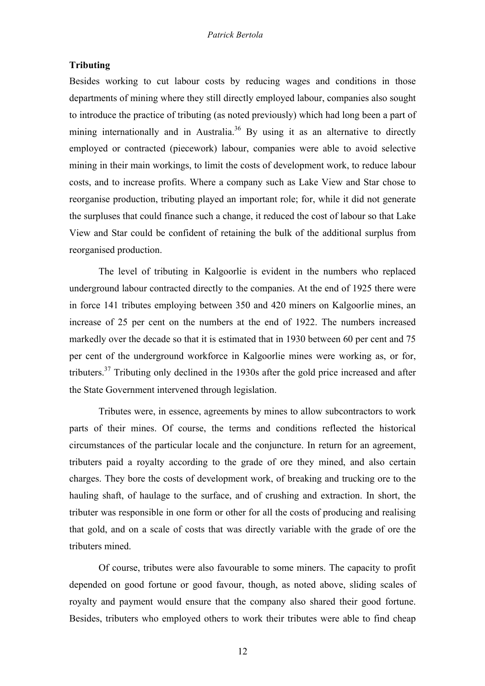## **Tributing**

Besides working to cut labour costs by reducing wages and conditions in those departments of mining where they still directly employed labour, companies also sought to introduce the practice of tributing (as noted previously) which had long been a part of mining internationally and in Australia.<sup>36</sup> By using it as an alternative to directly employed or contracted (piecework) labour, companies were able to avoid selective mining in their main workings, to limit the costs of development work, to reduce labour costs, and to increase profits. Where a company such as Lake View and Star chose to reorganise production, tributing played an important role; for, while it did not generate the surpluses that could finance such a change, it reduced the cost of labour so that Lake View and Star could be confident of retaining the bulk of the additional surplus from reorganised production.

The level of tributing in Kalgoorlie is evident in the numbers who replaced underground labour contracted directly to the companies. At the end of 1925 there were in force 141 tributes employing between 350 and 420 miners on Kalgoorlie mines, an increase of 25 per cent on the numbers at the end of 1922. The numbers increased markedly over the decade so that it is estimated that in 1930 between 60 per cent and 75 per cent of the underground workforce in Kalgoorlie mines were working as, or for, tributers.<sup>37</sup> Tributing only declined in the 1930s after the gold price increased and after the State Government intervened through legislation.

Tributes were, in essence, agreements by mines to allow subcontractors to work parts of their mines. Of course, the terms and conditions reflected the historical circumstances of the particular locale and the conjuncture. In return for an agreement, tributers paid a royalty according to the grade of ore they mined, and also certain charges. They bore the costs of development work, of breaking and trucking ore to the hauling shaft, of haulage to the surface, and of crushing and extraction. In short, the tributer was responsible in one form or other for all the costs of producing and realising that gold, and on a scale of costs that was directly variable with the grade of ore the tributers mined.

Of course, tributes were also favourable to some miners. The capacity to profit depended on good fortune or good favour, though, as noted above, sliding scales of royalty and payment would ensure that the company also shared their good fortune. Besides, tributers who employed others to work their tributes were able to find cheap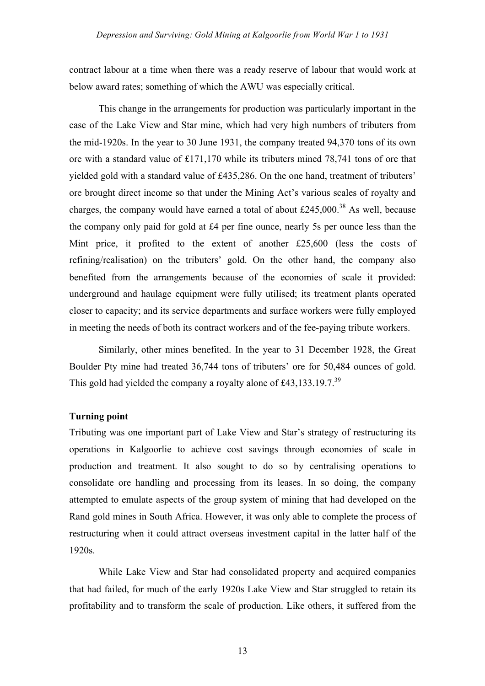contract labour at a time when there was a ready reserve of labour that would work at below award rates; something of which the AWU was especially critical.

This change in the arrangements for production was particularly important in the case of the Lake View and Star mine, which had very high numbers of tributers from the mid-1920s. In the year to 30 June 1931, the company treated 94,370 tons of its own ore with a standard value of £171,170 while its tributers mined 78,741 tons of ore that yielded gold with a standard value of £435,286. On the one hand, treatment of tributers' ore brought direct income so that under the Mining Act's various scales of royalty and charges, the company would have earned a total of about  $\text{\pounds}245,000$ .<sup>38</sup> As well, because the company only paid for gold at £4 per fine ounce, nearly 5s per ounce less than the Mint price, it profited to the extent of another £25,600 (less the costs of refining/realisation) on the tributers' gold. On the other hand, the company also benefited from the arrangements because of the economies of scale it provided: underground and haulage equipment were fully utilised; its treatment plants operated closer to capacity; and its service departments and surface workers were fully employed in meeting the needs of both its contract workers and of the fee-paying tribute workers.

Similarly, other mines benefited. In the year to 31 December 1928, the Great Boulder Pty mine had treated 36,744 tons of tributers' ore for 50,484 ounces of gold. This gold had yielded the company a royalty alone of £43,133.19.7.<sup>39</sup>

## **Turning point**

Tributing was one important part of Lake View and Star's strategy of restructuring its operations in Kalgoorlie to achieve cost savings through economies of scale in production and treatment. It also sought to do so by centralising operations to consolidate ore handling and processing from its leases. In so doing, the company attempted to emulate aspects of the group system of mining that had developed on the Rand gold mines in South Africa. However, it was only able to complete the process of restructuring when it could attract overseas investment capital in the latter half of the 1920s.

While Lake View and Star had consolidated property and acquired companies that had failed, for much of the early 1920s Lake View and Star struggled to retain its profitability and to transform the scale of production. Like others, it suffered from the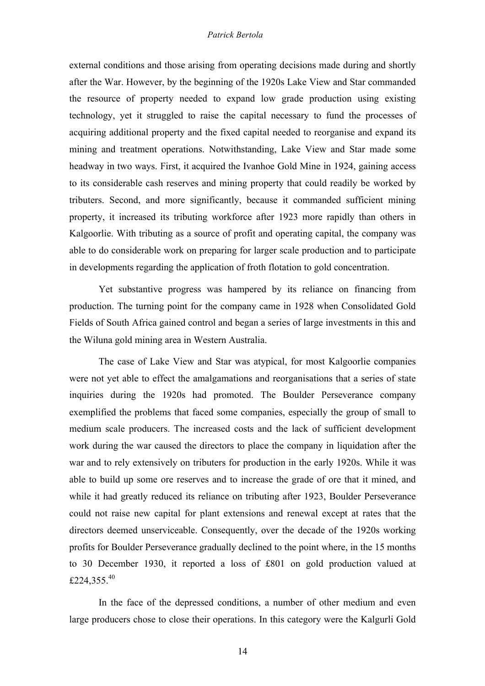external conditions and those arising from operating decisions made during and shortly after the War. However, by the beginning of the 1920s Lake View and Star commanded the resource of property needed to expand low grade production using existing technology, yet it struggled to raise the capital necessary to fund the processes of acquiring additional property and the fixed capital needed to reorganise and expand its mining and treatment operations. Notwithstanding, Lake View and Star made some headway in two ways. First, it acquired the Ivanhoe Gold Mine in 1924, gaining access to its considerable cash reserves and mining property that could readily be worked by tributers. Second, and more significantly, because it commanded sufficient mining property, it increased its tributing workforce after 1923 more rapidly than others in Kalgoorlie. With tributing as a source of profit and operating capital, the company was able to do considerable work on preparing for larger scale production and to participate in developments regarding the application of froth flotation to gold concentration.

Yet substantive progress was hampered by its reliance on financing from production. The turning point for the company came in 1928 when Consolidated Gold Fields of South Africa gained control and began a series of large investments in this and the Wiluna gold mining area in Western Australia.

The case of Lake View and Star was atypical, for most Kalgoorlie companies were not yet able to effect the amalgamations and reorganisations that a series of state inquiries during the 1920s had promoted. The Boulder Perseverance company exemplified the problems that faced some companies, especially the group of small to medium scale producers. The increased costs and the lack of sufficient development work during the war caused the directors to place the company in liquidation after the war and to rely extensively on tributers for production in the early 1920s. While it was able to build up some ore reserves and to increase the grade of ore that it mined, and while it had greatly reduced its reliance on tributing after 1923, Boulder Perseverance could not raise new capital for plant extensions and renewal except at rates that the directors deemed unserviceable. Consequently, over the decade of the 1920s working profits for Boulder Perseverance gradually declined to the point where, in the 15 months to 30 December 1930, it reported a loss of £801 on gold production valued at £224,355. $^{40}$ 

In the face of the depressed conditions, a number of other medium and even large producers chose to close their operations. In this category were the Kalgurli Gold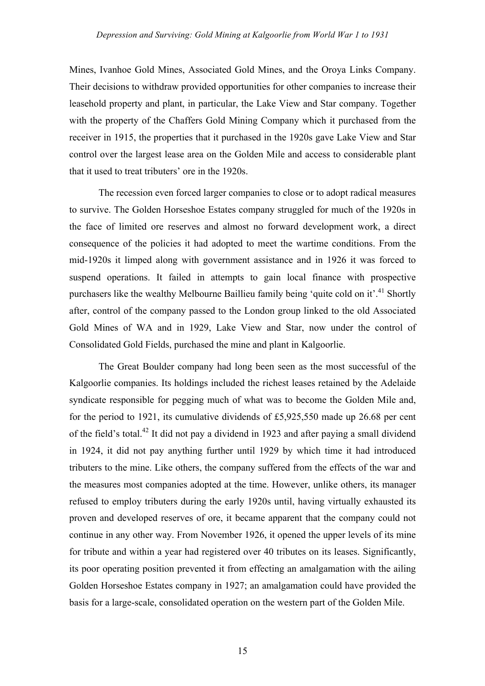Mines, Ivanhoe Gold Mines, Associated Gold Mines, and the Oroya Links Company. Their decisions to withdraw provided opportunities for other companies to increase their leasehold property and plant, in particular, the Lake View and Star company. Together with the property of the Chaffers Gold Mining Company which it purchased from the receiver in 1915, the properties that it purchased in the 1920s gave Lake View and Star control over the largest lease area on the Golden Mile and access to considerable plant that it used to treat tributers' ore in the 1920s.

The recession even forced larger companies to close or to adopt radical measures to survive. The Golden Horseshoe Estates company struggled for much of the 1920s in the face of limited ore reserves and almost no forward development work, a direct consequence of the policies it had adopted to meet the wartime conditions. From the mid-1920s it limped along with government assistance and in 1926 it was forced to suspend operations. It failed in attempts to gain local finance with prospective purchasers like the wealthy Melbourne Baillieu family being 'quite cold on it'.<sup>41</sup> Shortly after, control of the company passed to the London group linked to the old Associated Gold Mines of WA and in 1929, Lake View and Star, now under the control of Consolidated Gold Fields, purchased the mine and plant in Kalgoorlie.

The Great Boulder company had long been seen as the most successful of the Kalgoorlie companies. Its holdings included the richest leases retained by the Adelaide syndicate responsible for pegging much of what was to become the Golden Mile and, for the period to 1921, its cumulative dividends of £5,925,550 made up 26.68 per cent of the field's total.<sup>42</sup> It did not pay a dividend in 1923 and after paying a small dividend in 1924, it did not pay anything further until 1929 by which time it had introduced tributers to the mine. Like others, the company suffered from the effects of the war and the measures most companies adopted at the time. However, unlike others, its manager refused to employ tributers during the early 1920s until, having virtually exhausted its proven and developed reserves of ore, it became apparent that the company could not continue in any other way. From November 1926, it opened the upper levels of its mine for tribute and within a year had registered over 40 tributes on its leases. Significantly, its poor operating position prevented it from effecting an amalgamation with the ailing Golden Horseshoe Estates company in 1927; an amalgamation could have provided the basis for a large-scale, consolidated operation on the western part of the Golden Mile.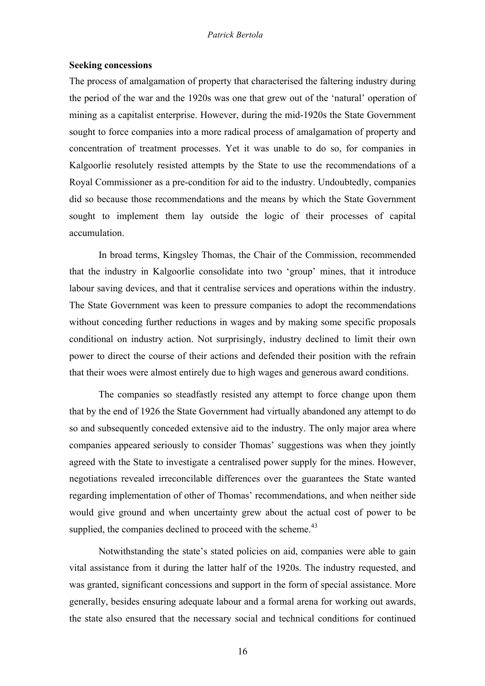## **Seeking concessions**

The process of amalgamation of property that characterised the faltering industry during the period of the war and the 1920s was one that grew out of the 'natural' operation of mining as a capitalist enterprise. However, during the mid-1920s the State Government sought to force companies into a more radical process of amalgamation of property and concentration of treatment processes. Yet it was unable to do so, for companies in Kalgoorlie resolutely resisted attempts by the State to use the recommendations of a Royal Commissioner as a pre-condition for aid to the industry. Undoubtedly, companies did so because those recommendations and the means by which the State Government sought to implement them lay outside the logic of their processes of capital accumulation.

In broad terms, Kingsley Thomas, the Chair of the Commission, recommended that the industry in Kalgoorlie consolidate into two 'group' mines, that it introduce labour saving devices, and that it centralise services and operations within the industry. The State Government was keen to pressure companies to adopt the recommendations without conceding further reductions in wages and by making some specific proposals conditional on industry action. Not surprisingly, industry declined to limit their own power to direct the course of their actions and defended their position with the refrain that their woes were almost entirely due to high wages and generous award conditions.

The companies so steadfastly resisted any attempt to force change upon them that by the end of 1926 the State Government had virtually abandoned any attempt to do so and subsequently conceded extensive aid to the industry. The only major area where companies appeared seriously to consider Thomas' suggestions was when they jointly agreed with the State to investigate a centralised power supply for the mines. However, negotiations revealed irreconcilable differences over the guarantees the State wanted regarding implementation of other of Thomas' recommendations, and when neither side would give ground and when uncertainty grew about the actual cost of power to be supplied, the companies declined to proceed with the scheme. $43$ 

Notwithstanding the state's stated policies on aid, companies were able to gain vital assistance from it during the latter half of the 1920s. The industry requested, and was granted, significant concessions and support in the form of special assistance. More generally, besides ensuring adequate labour and a formal arena for working out awards, the state also ensured that the necessary social and technical conditions for continued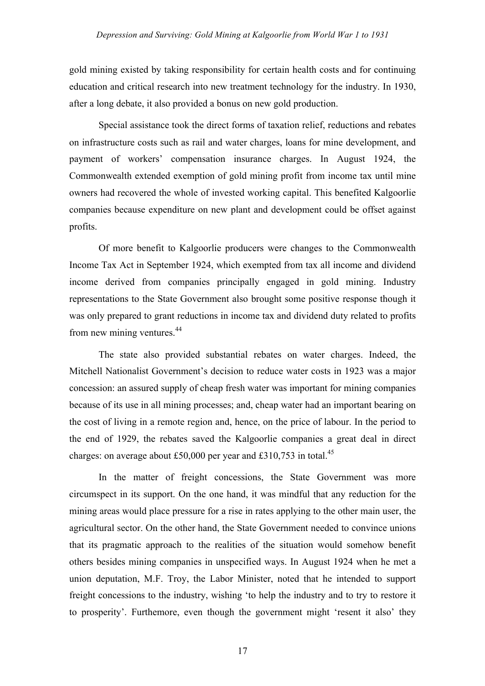gold mining existed by taking responsibility for certain health costs and for continuing education and critical research into new treatment technology for the industry. In 1930, after a long debate, it also provided a bonus on new gold production.

Special assistance took the direct forms of taxation relief, reductions and rebates on infrastructure costs such as rail and water charges, loans for mine development, and payment of workers' compensation insurance charges. In August 1924, the Commonwealth extended exemption of gold mining profit from income tax until mine owners had recovered the whole of invested working capital. This benefited Kalgoorlie companies because expenditure on new plant and development could be offset against profits.

Of more benefit to Kalgoorlie producers were changes to the Commonwealth Income Tax Act in September 1924, which exempted from tax all income and dividend income derived from companies principally engaged in gold mining. Industry representations to the State Government also brought some positive response though it was only prepared to grant reductions in income tax and dividend duty related to profits from new mining ventures.<sup>44</sup>

The state also provided substantial rebates on water charges. Indeed, the Mitchell Nationalist Government's decision to reduce water costs in 1923 was a major concession: an assured supply of cheap fresh water was important for mining companies because of its use in all mining processes; and, cheap water had an important bearing on the cost of living in a remote region and, hence, on the price of labour. In the period to the end of 1929, the rebates saved the Kalgoorlie companies a great deal in direct charges: on average about £50,000 per year and £310,753 in total.<sup>45</sup>

In the matter of freight concessions, the State Government was more circumspect in its support. On the one hand, it was mindful that any reduction for the mining areas would place pressure for a rise in rates applying to the other main user, the agricultural sector. On the other hand, the State Government needed to convince unions that its pragmatic approach to the realities of the situation would somehow benefit others besides mining companies in unspecified ways. In August 1924 when he met a union deputation, M.F. Troy, the Labor Minister, noted that he intended to support freight concessions to the industry, wishing 'to help the industry and to try to restore it to prosperity'. Furthemore, even though the government might 'resent it also' they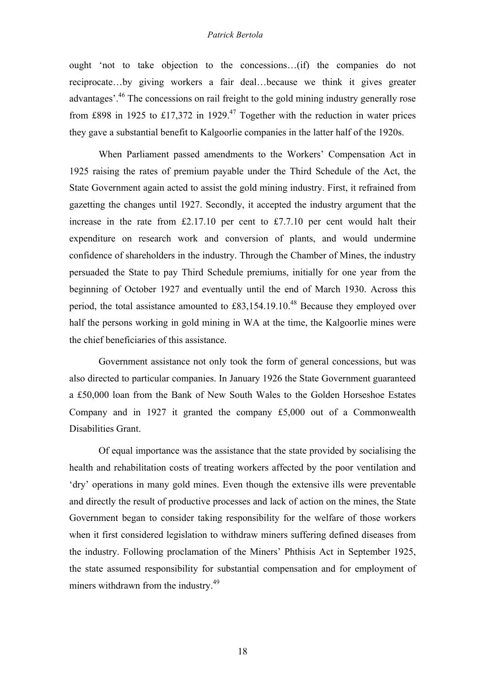ought 'not to take objection to the concessions…(if) the companies do not reciprocate…by giving workers a fair deal…because we think it gives greater advantages<sup>'.46</sup> The concessions on rail freight to the gold mining industry generally rose from £898 in 1925 to £17,372 in 1929.<sup>47</sup> Together with the reduction in water prices they gave a substantial benefit to Kalgoorlie companies in the latter half of the 1920s.

When Parliament passed amendments to the Workers' Compensation Act in 1925 raising the rates of premium payable under the Third Schedule of the Act, the State Government again acted to assist the gold mining industry. First, it refrained from gazetting the changes until 1927. Secondly, it accepted the industry argument that the increase in the rate from  $£2.17.10$  per cent to £7.7.10 per cent would halt their expenditure on research work and conversion of plants, and would undermine confidence of shareholders in the industry. Through the Chamber of Mines, the industry persuaded the State to pay Third Schedule premiums, initially for one year from the beginning of October 1927 and eventually until the end of March 1930. Across this period, the total assistance amounted to  $£83,154.19,10<sup>48</sup>$  Because they employed over half the persons working in gold mining in WA at the time, the Kalgoorlie mines were the chief beneficiaries of this assistance.

Government assistance not only took the form of general concessions, but was also directed to particular companies. In January 1926 the State Government guaranteed a £50,000 loan from the Bank of New South Wales to the Golden Horseshoe Estates Company and in 1927 it granted the company £5,000 out of a Commonwealth Disabilities Grant.

Of equal importance was the assistance that the state provided by socialising the health and rehabilitation costs of treating workers affected by the poor ventilation and 'dry' operations in many gold mines. Even though the extensive ills were preventable and directly the result of productive processes and lack of action on the mines, the State Government began to consider taking responsibility for the welfare of those workers when it first considered legislation to withdraw miners suffering defined diseases from the industry. Following proclamation of the Miners' Phthisis Act in September 1925, the state assumed responsibility for substantial compensation and for employment of miners withdrawn from the industry.<sup>49</sup>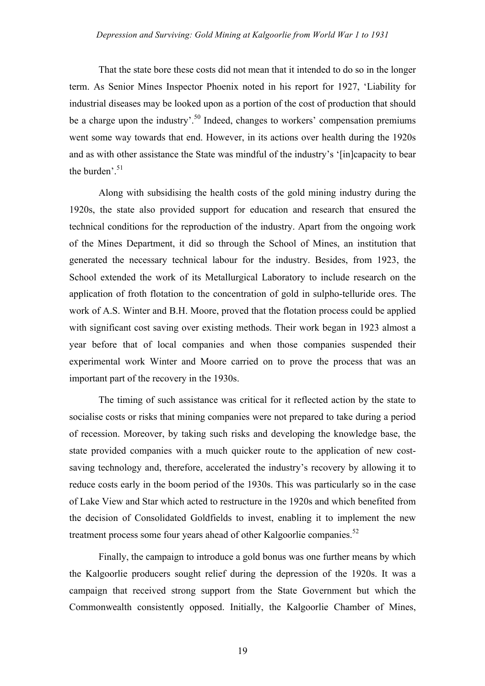That the state bore these costs did not mean that it intended to do so in the longer term. As Senior Mines Inspector Phoenix noted in his report for 1927, 'Liability for industrial diseases may be looked upon as a portion of the cost of production that should be a charge upon the industry'.<sup>50</sup> Indeed, changes to workers' compensation premiums went some way towards that end. However, in its actions over health during the 1920s and as with other assistance the State was mindful of the industry's '[in]capacity to bear the burden'. $51$ 

Along with subsidising the health costs of the gold mining industry during the 1920s, the state also provided support for education and research that ensured the technical conditions for the reproduction of the industry. Apart from the ongoing work of the Mines Department, it did so through the School of Mines, an institution that generated the necessary technical labour for the industry. Besides, from 1923, the School extended the work of its Metallurgical Laboratory to include research on the application of froth flotation to the concentration of gold in sulpho-telluride ores. The work of A.S. Winter and B.H. Moore, proved that the flotation process could be applied with significant cost saving over existing methods. Their work began in 1923 almost a year before that of local companies and when those companies suspended their experimental work Winter and Moore carried on to prove the process that was an important part of the recovery in the 1930s.

The timing of such assistance was critical for it reflected action by the state to socialise costs or risks that mining companies were not prepared to take during a period of recession. Moreover, by taking such risks and developing the knowledge base, the state provided companies with a much quicker route to the application of new costsaving technology and, therefore, accelerated the industry's recovery by allowing it to reduce costs early in the boom period of the 1930s. This was particularly so in the case of Lake View and Star which acted to restructure in the 1920s and which benefited from the decision of Consolidated Goldfields to invest, enabling it to implement the new treatment process some four years ahead of other Kalgoorlie companies.<sup>52</sup>

Finally, the campaign to introduce a gold bonus was one further means by which the Kalgoorlie producers sought relief during the depression of the 1920s. It was a campaign that received strong support from the State Government but which the Commonwealth consistently opposed. Initially, the Kalgoorlie Chamber of Mines,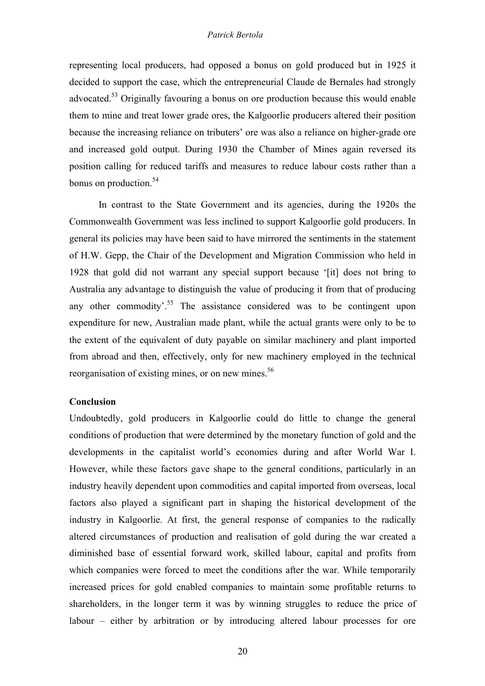representing local producers, had opposed a bonus on gold produced but in 1925 it decided to support the case, which the entrepreneurial Claude de Bernales had strongly advocated.<sup>53</sup> Originally favouring a bonus on ore production because this would enable them to mine and treat lower grade ores, the Kalgoorlie producers altered their position because the increasing reliance on tributers' ore was also a reliance on higher-grade ore and increased gold output. During 1930 the Chamber of Mines again reversed its position calling for reduced tariffs and measures to reduce labour costs rather than a bonus on production.  $54$ 

In contrast to the State Government and its agencies, during the 1920s the Commonwealth Government was less inclined to support Kalgoorlie gold producers. In general its policies may have been said to have mirrored the sentiments in the statement of H.W. Gepp, the Chair of the Development and Migration Commission who held in 1928 that gold did not warrant any special support because '[it] does not bring to Australia any advantage to distinguish the value of producing it from that of producing any other commodity<sup>55</sup>. The assistance considered was to be contingent upon expenditure for new, Australian made plant, while the actual grants were only to be to the extent of the equivalent of duty payable on similar machinery and plant imported from abroad and then, effectively, only for new machinery employed in the technical reorganisation of existing mines, or on new mines.<sup>56</sup>

## **Conclusion**

Undoubtedly, gold producers in Kalgoorlie could do little to change the general conditions of production that were determined by the monetary function of gold and the developments in the capitalist world's economies during and after World War I. However, while these factors gave shape to the general conditions, particularly in an industry heavily dependent upon commodities and capital imported from overseas, local factors also played a significant part in shaping the historical development of the industry in Kalgoorlie. At first, the general response of companies to the radically altered circumstances of production and realisation of gold during the war created a diminished base of essential forward work, skilled labour, capital and profits from which companies were forced to meet the conditions after the war. While temporarily increased prices for gold enabled companies to maintain some profitable returns to shareholders, in the longer term it was by winning struggles to reduce the price of labour – either by arbitration or by introducing altered labour processes for ore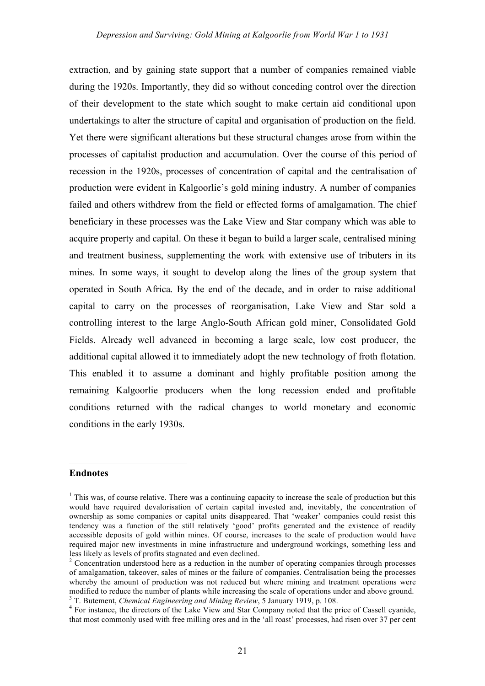extraction, and by gaining state support that a number of companies remained viable during the 1920s. Importantly, they did so without conceding control over the direction of their development to the state which sought to make certain aid conditional upon undertakings to alter the structure of capital and organisation of production on the field. Yet there were significant alterations but these structural changes arose from within the processes of capitalist production and accumulation. Over the course of this period of recession in the 1920s, processes of concentration of capital and the centralisation of production were evident in Kalgoorlie's gold mining industry. A number of companies failed and others withdrew from the field or effected forms of amalgamation. The chief beneficiary in these processes was the Lake View and Star company which was able to acquire property and capital. On these it began to build a larger scale, centralised mining and treatment business, supplementing the work with extensive use of tributers in its mines. In some ways, it sought to develop along the lines of the group system that operated in South Africa. By the end of the decade, and in order to raise additional capital to carry on the processes of reorganisation, Lake View and Star sold a controlling interest to the large Anglo-South African gold miner, Consolidated Gold Fields. Already well advanced in becoming a large scale, low cost producer, the additional capital allowed it to immediately adopt the new technology of froth flotation. This enabled it to assume a dominant and highly profitable position among the remaining Kalgoorlie producers when the long recession ended and profitable conditions returned with the radical changes to world monetary and economic conditions in the early 1930s.

#### **Endnotes**

 $\overline{a}$ 

 $<sup>1</sup>$  This was, of course relative. There was a continuing capacity to increase the scale of production but this</sup> would have required devalorisation of certain capital invested and, inevitably, the concentration of ownership as some companies or capital units disappeared. That 'weaker' companies could resist this tendency was a function of the still relatively 'good' profits generated and the existence of readily accessible deposits of gold within mines. Of course, increases to the scale of production would have required major new investments in mine infrastructure and underground workings, something less and less likely as levels of profits stagnated and even declined.<br><sup>2</sup> Concentration understood here as a reduction in the number of operating companies through processes

of amalgamation, takeover, sales of mines or the failure of companies. Centralisation being the processes whereby the amount of production was not reduced but where mining and treatment operations were modified to reduce the number of plants while increasing the scale of operations under and above ground.<br><sup>3</sup> T. Butement, *Chemical Engineering and Mining Review*, 5 January 1919, p. 108.<br><sup>4</sup> For instance, the directors of

that most commonly used with free milling ores and in the 'all roast' processes, had risen over 37 per cent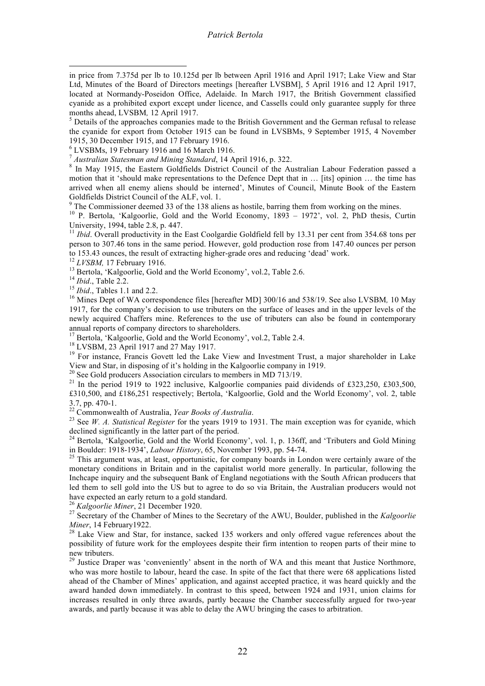the cyanide for export from October 1915 can be found in LVSBMs, 9 September 1915, 4 November

1915, 30 December 1915, and 17 February 1916.<br>
<sup>6</sup> LVSBMs, 19 February 1916 and 16 March 1916.<br>
<sup>7</sup> *Australian Statesman and Mining Standard*, 14 April 1916, p. 322.<br>
<sup>8</sup> In Mav 1915, the Eastern Goldfields District Coun motion that it 'should make representations to the Defence Dept that in … [its] opinion … the time has arrived when all enemy aliens should be interned', Minutes of Council, Minute Book of the Eastern

Goldfields District Council of the ALF, vol. 1.<br><sup>9</sup> The Commissioner deemed 33 of the 138 aliens as hostile, barring them from working on the mines.<br><sup>10</sup> P. Bertola, 'Kalgoorlie, Gold and the World Economy, 1893 – 1972',

<sup>11</sup> *Ibid.* Overall productivity in the East Coolgardie Goldfield fell by 13.31 per cent from 354.68 tons per person to 307.46 tons in the same period. However, gold production rose from 147.40 ounces per person to 153.43 ounces, the result of extracting higher-grade ores and reducing 'dead' work.<br>
<sup>12</sup> *LVSBM*, 17 February 1916.<br>
<sup>13</sup> Bertola, 'Kalgoorlie, Gold and the World Economy', vol.2, Table 2.6.<br>
<sup>14</sup> *Ibid.*, Table 2.2.<br>

1917, for the company's decision to use tributers on the surface of leases and in the upper levels of the newly acquired Chaffers mine. References to the use of tributers can also be found in contemporary

annual reports of company directors to shareholders.<br><sup>17</sup> Bertola, 'Kalgoorlie, Gold and the World Economy', vol.2, Table 2.4.<br><sup>18</sup> LVSBM, 23 April 1917 and 27 May 1917.<br><sup>19</sup> For instance, Francis Govett led the Lake View

<sup>20</sup> See Gold producers Association circulars to members in MD 713/19.<br><sup>21</sup> In the period 1919 to 1922 inclusive, Kalgoorlie companies paid dividends of £323,250, £303,500, £310,500, and £186,251 respectively; Bertola, 'Kalgoorlie, Gold and the World Economy', vol. 2, table 3.7, pp. 470-1.<br><sup>22</sup> Commonwealth of Australia, *Year Books of Australia*.<br><sup>23</sup> See *W. A. Statistical Register* for the years 1919 to 1931. The main exception was for cyanide, which

declined significantly in the latter part of the period.<br><sup>24</sup> Bertola, 'Kalgoorlie, Gold and the World Economy', vol. 1, p. 136ff, and 'Tributers and Gold Mining<br>in Boulder: 1918-1934', *Labour History*, 65, November 1993,

<sup>25</sup> This argument was, at least, opportunistic, for company boards in London were certainly aware of the monetary conditions in Britain and in the capitalist world more generally. In particular, following the Inchcape inquiry and the subsequent Bank of England negotiations with the South African producers that led them to sell gold into the US but to agree to do so via Britain, the Australian producers would not have expected an early return to a gold standard.

<sup>26</sup> Kalgoorlie Miner, 21 December 1920.<br><sup>27</sup> Secretary of the Chamber of Mines to the Secretary of the AWU, Boulder, published in the *Kalgoorlie Miner*, 14 February 1922.<br><sup>28</sup> Lake View and Star, for instance, sacked 135 workers and only offered vague references about the

possibility of future work for the employees despite their firm intention to reopen parts of their mine to new tributers.<br><sup>29</sup> Justice Draper was 'conveniently' absent in the north of WA and this meant that Justice Northmore,

who was more hostile to labour, heard the case. In spite of the fact that there were 68 applications listed ahead of the Chamber of Mines' application, and against accepted practice, it was heard quickly and the award handed down immediately. In contrast to this speed, between 1924 and 1931, union claims for increases resulted in only three awards, partly because the Chamber successfully argued for two-year awards, and partly because it was able to delay the AWU bringing the cases to arbitration.

in price from 7.375d per lb to 10.125d per lb between April <sup>1916</sup> and April 1917; Lake View and Star Ltd, Minutes of the Board of Directors meetings [hereafter LVSBM], 5 April 1916 and 12 April 1917, located at Normandy-Poseidon Office, Adelaide. In March 1917, the British Government classified cyanide as a prohibited export except under licence, and Cassells could only guarantee supply for three months ahead, LVSBM, 12 April 1917.<br><sup>5</sup> Details of the approaches companies made to the British Government and the German refusal to release